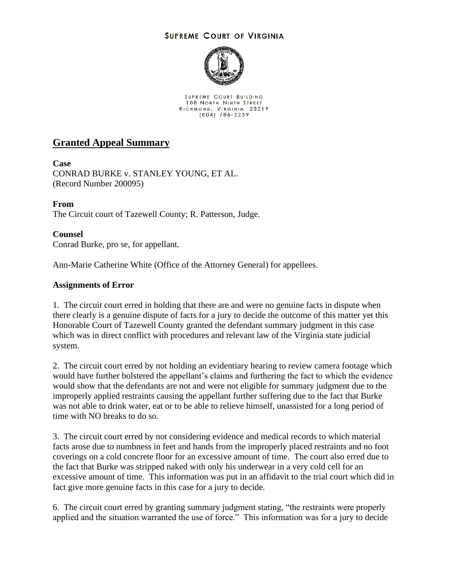## **SUPREME COURT OF VIRGINIA**



SUPREME COURT BUILDING 100 NORTH NINTH STREET RICHMOND, VIRGINIA 23219<br>(804) 786-2259

## **Granted Appeal Summary**

**Case** CONRAD BURKE v. STANLEY YOUNG, ET AL. (Record Number 200095)

**From** The Circuit court of Tazewell County; R. Patterson, Judge.

**Counsel** Conrad Burke, pro se, for appellant.

Ann-Marie Catherine White (Office of the Attorney General) for appellees.

## **Assignments of Error**

1. The circuit court erred in holding that there are and were no genuine facts in dispute when there clearly is a genuine dispute of facts for a jury to decide the outcome of this matter yet this Honorable Court of Tazewell County granted the defendant summary judgment in this case which was in direct conflict with procedures and relevant law of the Virginia state judicial system.

2. The circuit court erred by not holding an evidentiary hearing to review camera footage which would have further bolstered the appellant's claims and furthering the fact to which the evidence would show that the defendants are not and were not eligible for summary judgment due to the improperly applied restraints causing the appellant further suffering due to the fact that Burke was not able to drink water, eat or to be able to relieve himself, unassisted for a long period of time with NO breaks to do so.

3. The circuit court erred by not considering evidence and medical records to which material facts arose due to numbness in feet and hands from the improperly placed restraints and no foot coverings on a cold concrete floor for an excessive amount of time. The court also erred due to the fact that Burke was stripped naked with only his underwear in a very cold cell for an excessive amount of time. This information was put in an affidavit to the trial court which did in fact give more genuine facts in this case for a jury to decide.

6. The circuit court erred by granting summary judgment stating, "the restraints were properly applied and the situation warranted the use of force." This information was for a jury to decide